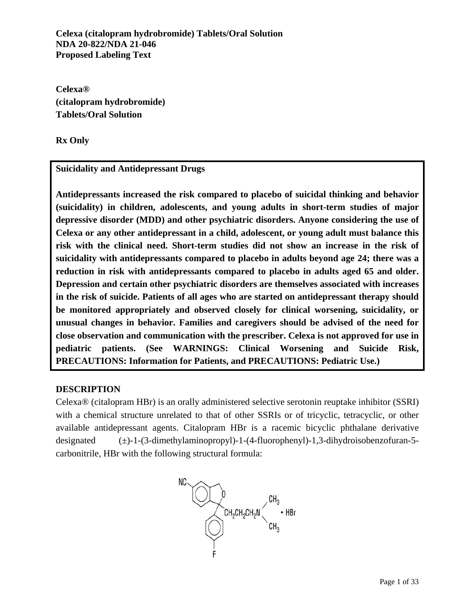**Celexa® (citalopram hydrobromide) Tablets/Oral Solution**

**Rx Only** 

**Suicidality and Antidepressant Drugs** 

**Antidepressants increased the risk compared to placebo of suicidal thinking and behavior (suicidality) in children, adolescents, and young adults in short-term studies of major depressive disorder (MDD) and other psychiatric disorders. Anyone considering the use of Celexa or any other antidepressant in a child, adolescent, or young adult must balance this risk with the clinical need. Short-term studies did not show an increase in the risk of suicidality with antidepressants compared to placebo in adults beyond age 24; there was a reduction in risk with antidepressants compared to placebo in adults aged 65 and older. Depression and certain other psychiatric disorders are themselves associated with increases in the risk of suicide. Patients of all ages who are started on antidepressant therapy should be monitored appropriately and observed closely for clinical worsening, suicidality, or unusual changes in behavior. Families and caregivers should be advised of the need for close observation and communication with the prescriber. Celexa is not approved for use in pediatric patients. (See WARNINGS: Clinical Worsening and Suicide Risk, PRECAUTIONS: Information for Patients, and PRECAUTIONS: Pediatric Use.)** 

#### **DESCRIPTION**

Celexa® (citalopram HBr) is an orally administered selective serotonin reuptake inhibitor (SSRI) with a chemical structure unrelated to that of other SSRIs or of tricyclic, tetracyclic, or other available antidepressant agents. Citalopram HBr is a racemic bicyclic phthalane derivative designated (±)-1-(3-dimethylaminopropyl)-1-(4-fluorophenyl)-1,3-dihydroisobenzofuran-5 carbonitrile, HBr with the following structural formula:

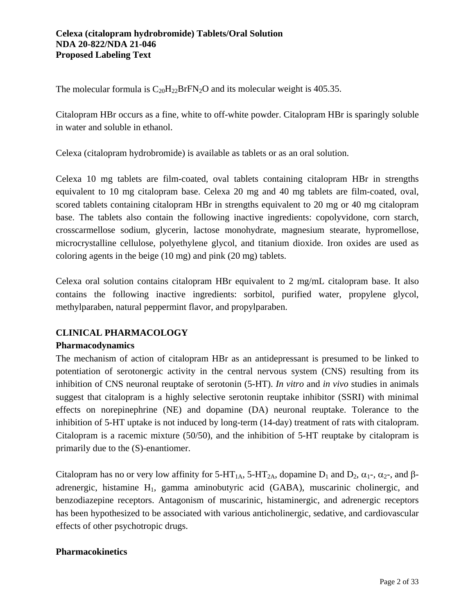The molecular formula is  $C_{20}H_{22}BrFN_{2}O$  and its molecular weight is 405.35.

Citalopram HBr occurs as a fine, white to off-white powder. Citalopram HBr is sparingly soluble in water and soluble in ethanol.

Celexa (citalopram hydrobromide) is available as tablets or as an oral solution.

Celexa 10 mg tablets are film-coated, oval tablets containing citalopram HBr in strengths equivalent to 10 mg citalopram base. Celexa 20 mg and 40 mg tablets are film-coated, oval, scored tablets containing citalopram HBr in strengths equivalent to 20 mg or 40 mg citalopram base. The tablets also contain the following inactive ingredients: copolyvidone, corn starch, crosscarmellose sodium, glycerin, lactose monohydrate, magnesium stearate, hypromellose, microcrystalline cellulose, polyethylene glycol, and titanium dioxide. Iron oxides are used as coloring agents in the beige (10 mg) and pink (20 mg) tablets.

Celexa oral solution contains citalopram HBr equivalent to 2 mg/mL citalopram base. It also contains the following inactive ingredients: sorbitol, purified water, propylene glycol, methylparaben, natural peppermint flavor, and propylparaben.

# **CLINICAL PHARMACOLOGY**

#### **Pharmacodynamics**

The mechanism of action of citalopram HBr as an antidepressant is presumed to be linked to potentiation of serotonergic activity in the central nervous system (CNS) resulting from its inhibition of CNS neuronal reuptake of serotonin (5-HT). *In vitro* and *in vivo* studies in animals suggest that citalopram is a highly selective serotonin reuptake inhibitor (SSRI) with minimal effects on norepinephrine (NE) and dopamine (DA) neuronal reuptake. Tolerance to the inhibition of 5-HT uptake is not induced by long-term (14-day) treatment of rats with citalopram. Citalopram is a racemic mixture (50/50), and the inhibition of 5-HT reuptake by citalopram is primarily due to the (S)-enantiomer.

Citalopram has no or very low affinity for 5-HT<sub>1A</sub>, 5-HT<sub>2A</sub>, dopamine D<sub>1</sub> and D<sub>2</sub>,  $\alpha_1$ -,  $\alpha_2$ -, and  $\beta$ adrenergic, histamine H1, gamma aminobutyric acid (GABA), muscarinic cholinergic, and benzodiazepine receptors. Antagonism of muscarinic, histaminergic, and adrenergic receptors has been hypothesized to be associated with various anticholinergic, sedative, and cardiovascular effects of other psychotropic drugs.

# **Pharmacokinetics**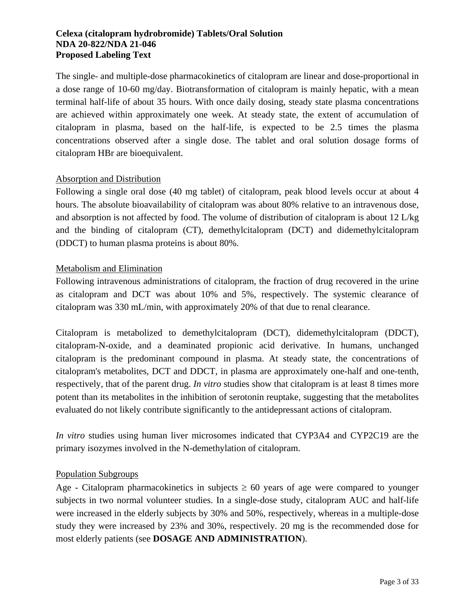The single- and multiple-dose pharmacokinetics of citalopram are linear and dose-proportional in a dose range of 10-60 mg/day. Biotransformation of citalopram is mainly hepatic, with a mean terminal half-life of about 35 hours. With once daily dosing, steady state plasma concentrations are achieved within approximately one week. At steady state, the extent of accumulation of citalopram in plasma, based on the half-life, is expected to be 2.5 times the plasma concentrations observed after a single dose. The tablet and oral solution dosage forms of citalopram HBr are bioequivalent.

# Absorption and Distribution

Following a single oral dose (40 mg tablet) of citalopram, peak blood levels occur at about 4 hours. The absolute bioavailability of citalopram was about 80% relative to an intravenous dose, and absorption is not affected by food. The volume of distribution of citalopram is about 12 L/kg and the binding of citalopram (CT), demethylcitalopram (DCT) and didemethylcitalopram (DDCT) to human plasma proteins is about 80%.

# Metabolism and Elimination

Following intravenous administrations of citalopram, the fraction of drug recovered in the urine as citalopram and DCT was about 10% and 5%, respectively. The systemic clearance of citalopram was 330 mL/min, with approximately 20% of that due to renal clearance.

Citalopram is metabolized to demethylcitalopram (DCT), didemethylcitalopram (DDCT), citalopram-N-oxide, and a deaminated propionic acid derivative. In humans, unchanged citalopram is the predominant compound in plasma. At steady state, the concentrations of citalopram's metabolites, DCT and DDCT, in plasma are approximately one-half and one-tenth, respectively, that of the parent drug. *In vitro* studies show that citalopram is at least 8 times more potent than its metabolites in the inhibition of serotonin reuptake, suggesting that the metabolites evaluated do not likely contribute significantly to the antidepressant actions of citalopram.

*In vitro* studies using human liver microsomes indicated that CYP3A4 and CYP2C19 are the primary isozymes involved in the N-demethylation of citalopram.

#### Population Subgroups

Age - Citalopram pharmacokinetics in subjects  $\geq 60$  years of age were compared to younger subjects in two normal volunteer studies. In a single-dose study, citalopram AUC and half-life were increased in the elderly subjects by 30% and 50%, respectively, whereas in a multiple-dose study they were increased by 23% and 30%, respectively. 20 mg is the recommended dose for most elderly patients (see **DOSAGE AND ADMINISTRATION**).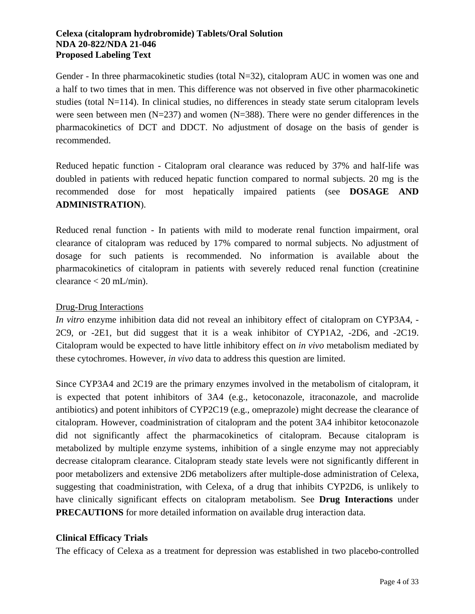Gender - In three pharmacokinetic studies (total N=32), citalopram AUC in women was one and a half to two times that in men. This difference was not observed in five other pharmacokinetic studies (total N=114). In clinical studies, no differences in steady state serum citalopram levels were seen between men  $(N=237)$  and women  $(N=388)$ . There were no gender differences in the pharmacokinetics of DCT and DDCT. No adjustment of dosage on the basis of gender is recommended.

Reduced hepatic function - Citalopram oral clearance was reduced by 37% and half-life was doubled in patients with reduced hepatic function compared to normal subjects. 20 mg is the recommended dose for most hepatically impaired patients (see **DOSAGE AND ADMINISTRATION**).

Reduced renal function - In patients with mild to moderate renal function impairment, oral clearance of citalopram was reduced by 17% compared to normal subjects. No adjustment of dosage for such patients is recommended. No information is available about the pharmacokinetics of citalopram in patients with severely reduced renal function (creatinine  $clearance < 20$  mL/min).

# Drug-Drug Interactions

*In vitro* enzyme inhibition data did not reveal an inhibitory effect of citalopram on CYP3A4, -2C9, or -2E1, but did suggest that it is a weak inhibitor of CYP1A2, -2D6, and -2C19. Citalopram would be expected to have little inhibitory effect on *in vivo* metabolism mediated by these cytochromes. However, *in vivo* data to address this question are limited.

Since CYP3A4 and 2C19 are the primary enzymes involved in the metabolism of citalopram, it is expected that potent inhibitors of 3A4 (e.g., ketoconazole, itraconazole, and macrolide antibiotics) and potent inhibitors of CYP2C19 (e.g., omeprazole) might decrease the clearance of citalopram. However, coadministration of citalopram and the potent 3A4 inhibitor ketoconazole did not significantly affect the pharmacokinetics of citalopram. Because citalopram is metabolized by multiple enzyme systems, inhibition of a single enzyme may not appreciably decrease citalopram clearance. Citalopram steady state levels were not significantly different in poor metabolizers and extensive 2D6 metabolizers after multiple-dose administration of Celexa, suggesting that coadministration, with Celexa, of a drug that inhibits CYP2D6, is unlikely to have clinically significant effects on citalopram metabolism. See **Drug Interactions** under **PRECAUTIONS** for more detailed information on available drug interaction data.

#### **Clinical Efficacy Trials**

The efficacy of Celexa as a treatment for depression was established in two placebo-controlled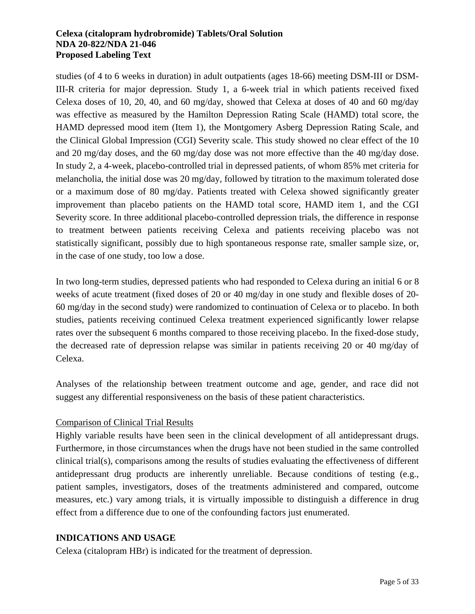studies (of 4 to 6 weeks in duration) in adult outpatients (ages 18-66) meeting DSM-III or DSM-III-R criteria for major depression. Study 1, a 6-week trial in which patients received fixed Celexa doses of 10, 20, 40, and 60 mg/day, showed that Celexa at doses of 40 and 60 mg/day was effective as measured by the Hamilton Depression Rating Scale (HAMD) total score, the HAMD depressed mood item (Item 1), the Montgomery Asberg Depression Rating Scale, and the Clinical Global Impression (CGI) Severity scale. This study showed no clear effect of the 10 and 20 mg/day doses, and the 60 mg/day dose was not more effective than the 40 mg/day dose. In study 2, a 4-week, placebo-controlled trial in depressed patients, of whom 85% met criteria for melancholia, the initial dose was 20 mg/day, followed by titration to the maximum tolerated dose or a maximum dose of 80 mg/day. Patients treated with Celexa showed significantly greater improvement than placebo patients on the HAMD total score, HAMD item 1, and the CGI Severity score. In three additional placebo-controlled depression trials, the difference in response to treatment between patients receiving Celexa and patients receiving placebo was not statistically significant, possibly due to high spontaneous response rate, smaller sample size, or, in the case of one study, too low a dose.

In two long-term studies, depressed patients who had responded to Celexa during an initial 6 or 8 weeks of acute treatment (fixed doses of 20 or 40 mg/day in one study and flexible doses of 20 60 mg/day in the second study) were randomized to continuation of Celexa or to placebo. In both studies, patients receiving continued Celexa treatment experienced significantly lower relapse rates over the subsequent 6 months compared to those receiving placebo. In the fixed-dose study, the decreased rate of depression relapse was similar in patients receiving 20 or 40 mg/day of Celexa.

Analyses of the relationship between treatment outcome and age, gender, and race did not suggest any differential responsiveness on the basis of these patient characteristics.

# Comparison of Clinical Trial Results

Highly variable results have been seen in the clinical development of all antidepressant drugs. Furthermore, in those circumstances when the drugs have not been studied in the same controlled clinical trial(s), comparisons among the results of studies evaluating the effectiveness of different antidepressant drug products are inherently unreliable. Because conditions of testing (e.g., patient samples, investigators, doses of the treatments administered and compared, outcome measures, etc.) vary among trials, it is virtually impossible to distinguish a difference in drug effect from a difference due to one of the confounding factors just enumerated.

# **INDICATIONS AND USAGE**

Celexa (citalopram HBr) is indicated for the treatment of depression.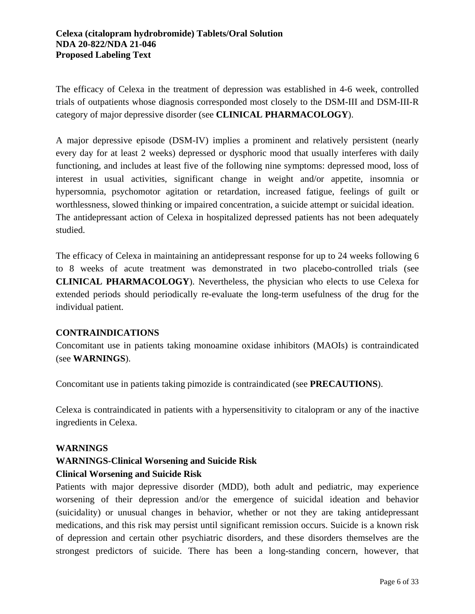The efficacy of Celexa in the treatment of depression was established in 4-6 week, controlled trials of outpatients whose diagnosis corresponded most closely to the DSM-III and DSM-III-R category of major depressive disorder (see **CLINICAL PHARMACOLOGY**).

A major depressive episode (DSM-IV) implies a prominent and relatively persistent (nearly every day for at least 2 weeks) depressed or dysphoric mood that usually interferes with daily functioning, and includes at least five of the following nine symptoms: depressed mood, loss of interest in usual activities, significant change in weight and/or appetite, insomnia or hypersomnia, psychomotor agitation or retardation, increased fatigue, feelings of guilt or worthlessness, slowed thinking or impaired concentration, a suicide attempt or suicidal ideation. The antidepressant action of Celexa in hospitalized depressed patients has not been adequately studied.

The efficacy of Celexa in maintaining an antidepressant response for up to 24 weeks following 6 to 8 weeks of acute treatment was demonstrated in two placebo-controlled trials (see **CLINICAL PHARMACOLOGY**). Nevertheless, the physician who elects to use Celexa for extended periods should periodically re-evaluate the long-term usefulness of the drug for the individual patient.

# **CONTRAINDICATIONS**

Concomitant use in patients taking monoamine oxidase inhibitors (MAOIs) is contraindicated (see **WARNINGS**).

Concomitant use in patients taking pimozide is contraindicated (see **PRECAUTIONS**).

Celexa is contraindicated in patients with a hypersensitivity to citalopram or any of the inactive ingredients in Celexa.

#### **WARNINGS**

# **WARNINGS-Clinical Worsening and Suicide Risk Clinical Worsening and Suicide Risk**

Patients with major depressive disorder (MDD), both adult and pediatric, may experience worsening of their depression and/or the emergence of suicidal ideation and behavior (suicidality) or unusual changes in behavior, whether or not they are taking antidepressant medications, and this risk may persist until significant remission occurs. Suicide is a known risk of depression and certain other psychiatric disorders, and these disorders themselves are the strongest predictors of suicide. There has been a long-standing concern, however, that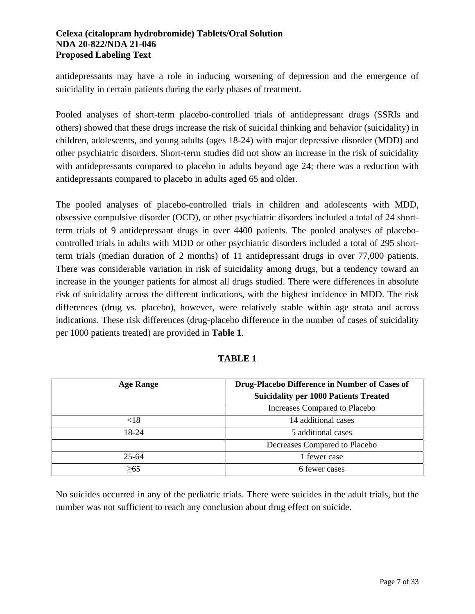antidepressants may have a role in inducing worsening of depression and the emergence of suicidality in certain patients during the early phases of treatment.

Pooled analyses of short-term placebo-controlled trials of antidepressant drugs (SSRIs and others) showed that these drugs increase the risk of suicidal thinking and behavior (suicidality) in children, adolescents, and young adults (ages 18-24) with major depressive disorder (MDD) and other psychiatric disorders. Short-term studies did not show an increase in the risk of suicidality with antidepressants compared to placebo in adults beyond age 24; there was a reduction with antidepressants compared to placebo in adults aged 65 and older.

The pooled analyses of placebo-controlled trials in children and adolescents with MDD, obsessive compulsive disorder (OCD), or other psychiatric disorders included a total of 24 shortterm trials of 9 antidepressant drugs in over 4400 patients. The pooled analyses of placebocontrolled trials in adults with MDD or other psychiatric disorders included a total of 295 shortterm trials (median duration of 2 months) of 11 antidepressant drugs in over 77,000 patients. There was considerable variation in risk of suicidality among drugs, but a tendency toward an increase in the younger patients for almost all drugs studied. There were differences in absolute risk of suicidality across the different indications, with the highest incidence in MDD. The risk differences (drug vs. placebo), however, were relatively stable within age strata and across indications. These risk differences (drug-placebo difference in the number of cases of suicidality per 1000 patients treated) are provided in **Table 1**.

| <b>Age Range</b> | Drug-Placebo Difference in Number of Cases of |  |
|------------------|-----------------------------------------------|--|
|                  | <b>Suicidality per 1000 Patients Treated</b>  |  |
|                  | <b>Increases Compared to Placebo</b>          |  |
| ${<}18$          | 14 additional cases                           |  |
| 18-24            | 5 additional cases                            |  |
|                  | Decreases Compared to Placebo                 |  |
| $25 - 64$        | 1 fewer case                                  |  |
| $\geq 65$        | 6 fewer cases                                 |  |

# **TABLE 1**

No suicides occurred in any of the pediatric trials. There were suicides in the adult trials, but the number was not sufficient to reach any conclusion about drug effect on suicide.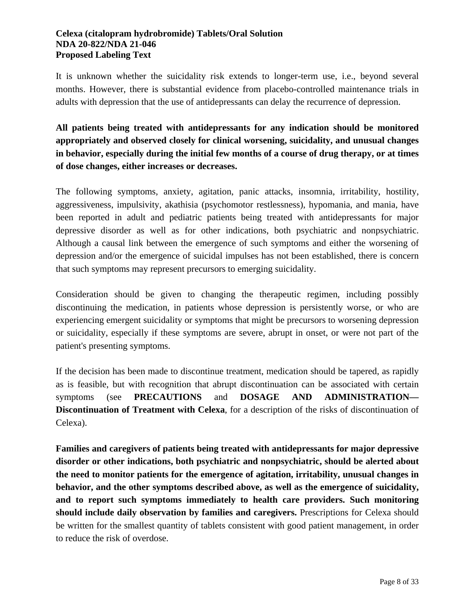It is unknown whether the suicidality risk extends to longer-term use, i.e., beyond several months. However, there is substantial evidence from placebo-controlled maintenance trials in adults with depression that the use of antidepressants can delay the recurrence of depression.

**All patients being treated with antidepressants for any indication should be monitored appropriately and observed closely for clinical worsening, suicidality, and unusual changes in behavior, especially during the initial few months of a course of drug therapy, or at times of dose changes, either increases or decreases.** 

The following symptoms, anxiety, agitation, panic attacks, insomnia, irritability, hostility, aggressiveness, impulsivity, akathisia (psychomotor restlessness), hypomania, and mania, have been reported in adult and pediatric patients being treated with antidepressants for major depressive disorder as well as for other indications, both psychiatric and nonpsychiatric. Although a causal link between the emergence of such symptoms and either the worsening of depression and/or the emergence of suicidal impulses has not been established, there is concern that such symptoms may represent precursors to emerging suicidality.

Consideration should be given to changing the therapeutic regimen, including possibly discontinuing the medication, in patients whose depression is persistently worse, or who are experiencing emergent suicidality or symptoms that might be precursors to worsening depression or suicidality, especially if these symptoms are severe, abrupt in onset, or were not part of the patient's presenting symptoms.

If the decision has been made to discontinue treatment, medication should be tapered, as rapidly as is feasible, but with recognition that abrupt discontinuation can be associated with certain symptoms (see **PRECAUTIONS** and **DOSAGE AND ADMINISTRATION— Discontinuation of Treatment with Celexa**, for a description of the risks of discontinuation of Celexa).

**Families and caregivers of patients being treated with antidepressants for major depressive disorder or other indications, both psychiatric and nonpsychiatric, should be alerted about the need to monitor patients for the emergence of agitation, irritability, unusual changes in behavior, and the other symptoms described above, as well as the emergence of suicidality, and to report such symptoms immediately to health care providers. Such monitoring should include daily observation by families and caregivers.** Prescriptions for Celexa should be written for the smallest quantity of tablets consistent with good patient management, in order to reduce the risk of overdose.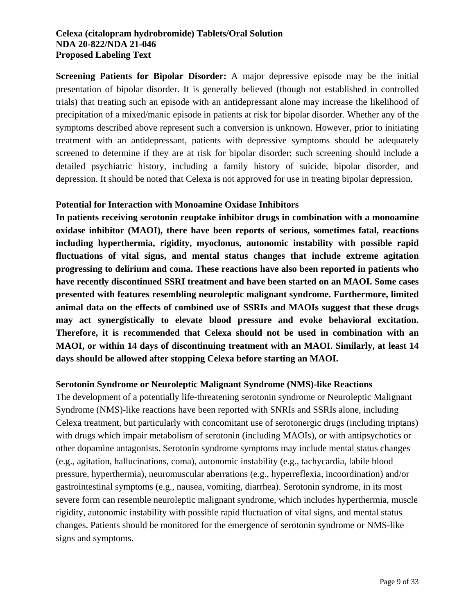**Screening Patients for Bipolar Disorder:** A major depressive episode may be the initial presentation of bipolar disorder. It is generally believed (though not established in controlled trials) that treating such an episode with an antidepressant alone may increase the likelihood of precipitation of a mixed/manic episode in patients at risk for bipolar disorder. Whether any of the symptoms described above represent such a conversion is unknown. However, prior to initiating treatment with an antidepressant, patients with depressive symptoms should be adequately screened to determine if they are at risk for bipolar disorder; such screening should include a detailed psychiatric history, including a family history of suicide, bipolar disorder, and depression. It should be noted that Celexa is not approved for use in treating bipolar depression.

#### **Potential for Interaction with Monoamine Oxidase Inhibitors**

**In patients receiving serotonin reuptake inhibitor drugs in combination with a monoamine oxidase inhibitor (MAOI), there have been reports of serious, sometimes fatal, reactions including hyperthermia, rigidity, myoclonus, autonomic instability with possible rapid fluctuations of vital signs, and mental status changes that include extreme agitation progressing to delirium and coma. These reactions have also been reported in patients who have recently discontinued SSRI treatment and have been started on an MAOI. Some cases presented with features resembling neuroleptic malignant syndrome. Furthermore, limited animal data on the effects of combined use of SSRIs and MAOIs suggest that these drugs may act synergistically to elevate blood pressure and evoke behavioral excitation. Therefore, it is recommended that Celexa should not be used in combination with an MAOI, or within 14 days of discontinuing treatment with an MAOI. Similarly, at least 14 days should be allowed after stopping Celexa before starting an MAOI.** 

#### **Serotonin Syndrome or Neuroleptic Malignant Syndrome (NMS)-like Reactions**

The development of a potentially life-threatening serotonin syndrome or Neuroleptic Malignant Syndrome (NMS)-like reactions have been reported with SNRIs and SSRIs alone, including Celexa treatment, but particularly with concomitant use of serotonergic drugs (including triptans) with drugs which impair metabolism of serotonin (including MAOIs), or with antipsychotics or other dopamine antagonists. Serotonin syndrome symptoms may include mental status changes (e.g., agitation, hallucinations, coma), autonomic instability (e.g., tachycardia, labile blood pressure, hyperthermia), neuromuscular aberrations (e.g., hyperreflexia, incoordination) and/or gastrointestinal symptoms (e.g., nausea, vomiting, diarrhea). Serotonin syndrome, in its most severe form can resemble neuroleptic malignant syndrome, which includes hyperthermia, muscle rigidity, autonomic instability with possible rapid fluctuation of vital signs, and mental status changes. Patients should be monitored for the emergence of serotonin syndrome or NMS-like signs and symptoms.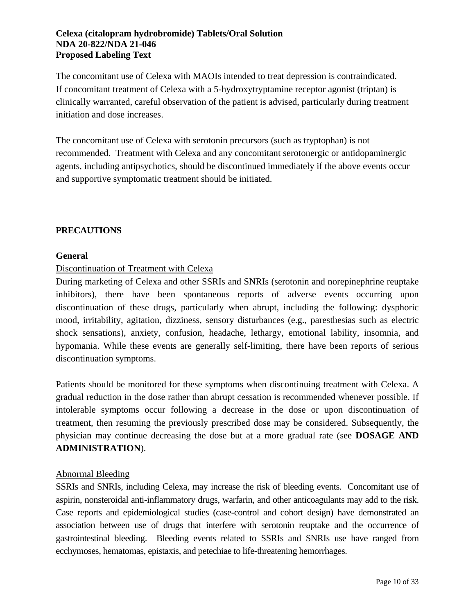The concomitant use of Celexa with MAOIs intended to treat depression is contraindicated. If concomitant treatment of Celexa with a 5-hydroxytryptamine receptor agonist (triptan) is clinically warranted, careful observation of the patient is advised, particularly during treatment initiation and dose increases.

The concomitant use of Celexa with serotonin precursors (such as tryptophan) is not recommended. Treatment with Celexa and any concomitant serotonergic or antidopaminergic agents, including antipsychotics, should be discontinued immediately if the above events occur and supportive symptomatic treatment should be initiated.

# **PRECAUTIONS**

#### **General**

# Discontinuation of Treatment with Celexa

During marketing of Celexa and other SSRIs and SNRIs (serotonin and norepinephrine reuptake inhibitors), there have been spontaneous reports of adverse events occurring upon discontinuation of these drugs, particularly when abrupt, including the following: dysphoric mood, irritability, agitation, dizziness, sensory disturbances (e.g., paresthesias such as electric shock sensations), anxiety, confusion, headache, lethargy, emotional lability, insomnia, and hypomania. While these events are generally self-limiting, there have been reports of serious discontinuation symptoms.

Patients should be monitored for these symptoms when discontinuing treatment with Celexa. A gradual reduction in the dose rather than abrupt cessation is recommended whenever possible. If intolerable symptoms occur following a decrease in the dose or upon discontinuation of treatment, then resuming the previously prescribed dose may be considered. Subsequently, the physician may continue decreasing the dose but at a more gradual rate (see **DOSAGE AND ADMINISTRATION**).

#### Abnormal Bleeding

SSRIs and SNRIs, including Celexa, may increase the risk of bleeding events. Concomitant use of aspirin, nonsteroidal anti-inflammatory drugs, warfarin, and other anticoagulants may add to the risk. Case reports and epidemiological studies (case-control and cohort design) have demonstrated an association between use of drugs that interfere with serotonin reuptake and the occurrence of gastrointestinal bleeding. Bleeding events related to SSRIs and SNRIs use have ranged from ecchymoses, hematomas, epistaxis, and petechiae to life-threatening hemorrhages.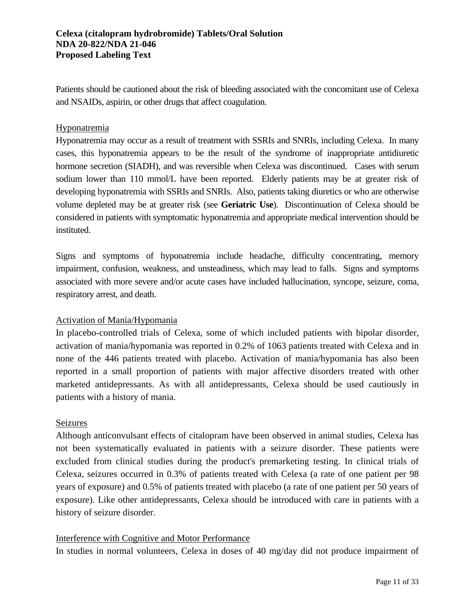Patients should be cautioned about the risk of bleeding associated with the concomitant use of Celexa and NSAIDs, aspirin, or other drugs that affect coagulation.

### **Hyponatremia**

Hyponatremia may occur as a result of treatment with SSRIs and SNRIs, including Celexa. In many cases, this hyponatremia appears to be the result of the syndrome of inappropriate antidiuretic hormone secretion (SIADH), and was reversible when Celexa was discontinued. Cases with serum sodium lower than 110 mmol/L have been reported. Elderly patients may be at greater risk of developing hyponatremia with SSRIs and SNRIs. Also, patients taking diuretics or who are otherwise volume depleted may be at greater risk (see **Geriatric Use**). Discontinuation of Celexa should be considered in patients with symptomatic hyponatremia and appropriate medical intervention should be instituted.

Signs and symptoms of hyponatremia include headache, difficulty concentrating, memory impairment, confusion, weakness, and unsteadiness, which may lead to falls. Signs and symptoms associated with more severe and/or acute cases have included hallucination, syncope, seizure, coma, respiratory arrest, and death.

#### Activation of Mania/Hypomania

In placebo-controlled trials of Celexa, some of which included patients with bipolar disorder, activation of mania/hypomania was reported in 0.2% of 1063 patients treated with Celexa and in none of the 446 patients treated with placebo. Activation of mania/hypomania has also been reported in a small proportion of patients with major affective disorders treated with other marketed antidepressants. As with all antidepressants, Celexa should be used cautiously in patients with a history of mania.

#### Seizures

Although anticonvulsant effects of citalopram have been observed in animal studies, Celexa has not been systematically evaluated in patients with a seizure disorder. These patients were excluded from clinical studies during the product's premarketing testing. In clinical trials of Celexa, seizures occurred in 0.3% of patients treated with Celexa (a rate of one patient per 98 years of exposure) and 0.5% of patients treated with placebo (a rate of one patient per 50 years of exposure). Like other antidepressants, Celexa should be introduced with care in patients with a history of seizure disorder.

#### Interference with Cognitive and Motor Performance

In studies in normal volunteers, Celexa in doses of 40 mg/day did not produce impairment of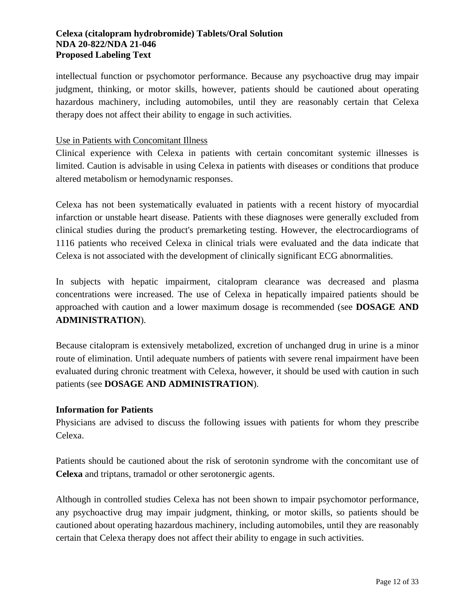intellectual function or psychomotor performance. Because any psychoactive drug may impair judgment, thinking, or motor skills, however, patients should be cautioned about operating hazardous machinery, including automobiles, until they are reasonably certain that Celexa therapy does not affect their ability to engage in such activities.

### Use in Patients with Concomitant Illness

Clinical experience with Celexa in patients with certain concomitant systemic illnesses is limited. Caution is advisable in using Celexa in patients with diseases or conditions that produce altered metabolism or hemodynamic responses.

Celexa has not been systematically evaluated in patients with a recent history of myocardial infarction or unstable heart disease. Patients with these diagnoses were generally excluded from clinical studies during the product's premarketing testing. However, the electrocardiograms of 1116 patients who received Celexa in clinical trials were evaluated and the data indicate that Celexa is not associated with the development of clinically significant ECG abnormalities.

In subjects with hepatic impairment, citalopram clearance was decreased and plasma concentrations were increased. The use of Celexa in hepatically impaired patients should be approached with caution and a lower maximum dosage is recommended (see **DOSAGE AND ADMINISTRATION**).

Because citalopram is extensively metabolized, excretion of unchanged drug in urine is a minor route of elimination. Until adequate numbers of patients with severe renal impairment have been evaluated during chronic treatment with Celexa, however, it should be used with caution in such patients (see **DOSAGE AND ADMINISTRATION**).

#### **Information for Patients**

Physicians are advised to discuss the following issues with patients for whom they prescribe Celexa.

Patients should be cautioned about the risk of serotonin syndrome with the concomitant use of **Celexa** and triptans, tramadol or other serotonergic agents.

Although in controlled studies Celexa has not been shown to impair psychomotor performance, any psychoactive drug may impair judgment, thinking, or motor skills, so patients should be cautioned about operating hazardous machinery, including automobiles, until they are reasonably certain that Celexa therapy does not affect their ability to engage in such activities.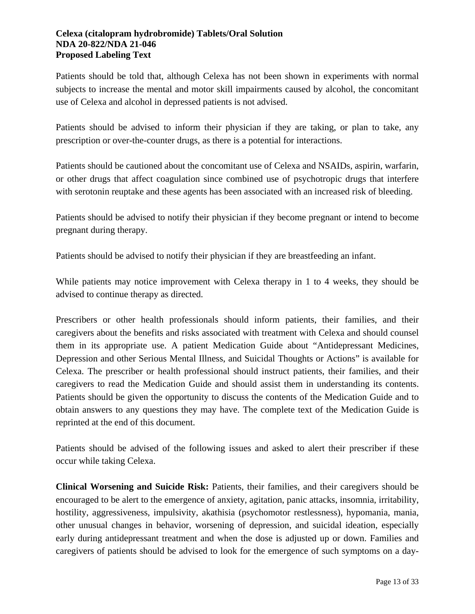Patients should be told that, although Celexa has not been shown in experiments with normal subjects to increase the mental and motor skill impairments caused by alcohol, the concomitant use of Celexa and alcohol in depressed patients is not advised.

Patients should be advised to inform their physician if they are taking, or plan to take, any prescription or over-the-counter drugs, as there is a potential for interactions.

Patients should be cautioned about the concomitant use of Celexa and NSAIDs, aspirin, warfarin, or other drugs that affect coagulation since combined use of psychotropic drugs that interfere with serotonin reuptake and these agents has been associated with an increased risk of bleeding.

Patients should be advised to notify their physician if they become pregnant or intend to become pregnant during therapy.

Patients should be advised to notify their physician if they are breastfeeding an infant.

While patients may notice improvement with Celexa therapy in 1 to 4 weeks, they should be advised to continue therapy as directed.

Prescribers or other health professionals should inform patients, their families, and their caregivers about the benefits and risks associated with treatment with Celexa and should counsel them in its appropriate use. A patient Medication Guide about "Antidepressant Medicines, Depression and other Serious Mental Illness, and Suicidal Thoughts or Actions" is available for Celexa. The prescriber or health professional should instruct patients, their families, and their caregivers to read the Medication Guide and should assist them in understanding its contents. Patients should be given the opportunity to discuss the contents of the Medication Guide and to obtain answers to any questions they may have. The complete text of the Medication Guide is reprinted at the end of this document.

Patients should be advised of the following issues and asked to alert their prescriber if these occur while taking Celexa.

**Clinical Worsening and Suicide Risk:** Patients, their families, and their caregivers should be encouraged to be alert to the emergence of anxiety, agitation, panic attacks, insomnia, irritability, hostility, aggressiveness, impulsivity, akathisia (psychomotor restlessness), hypomania, mania, other unusual changes in behavior, worsening of depression, and suicidal ideation, especially early during antidepressant treatment and when the dose is adjusted up or down. Families and caregivers of patients should be advised to look for the emergence of such symptoms on a day-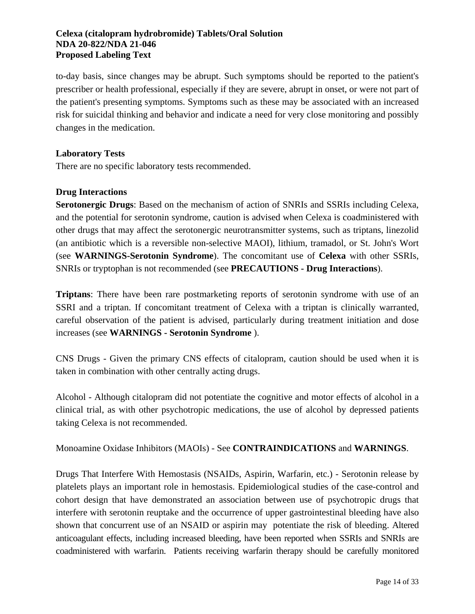to-day basis, since changes may be abrupt. Such symptoms should be reported to the patient's prescriber or health professional, especially if they are severe, abrupt in onset, or were not part of the patient's presenting symptoms. Symptoms such as these may be associated with an increased risk for suicidal thinking and behavior and indicate a need for very close monitoring and possibly changes in the medication.

### **Laboratory Tests**

There are no specific laboratory tests recommended.

# **Drug Interactions**

**Serotonergic Drugs**: Based on the mechanism of action of SNRIs and SSRIs including Celexa, and the potential for serotonin syndrome, caution is advised when Celexa is coadministered with other drugs that may affect the serotonergic neurotransmitter systems, such as triptans, linezolid (an antibiotic which is a reversible non-selective MAOI), lithium, tramadol, or St. John's Wort (see **WARNINGS-Serotonin Syndrome**). The concomitant use of **Celexa** with other SSRIs, SNRIs or tryptophan is not recommended (see **PRECAUTIONS - Drug Interactions**).

**Triptans**: There have been rare postmarketing reports of serotonin syndrome with use of an SSRI and a triptan. If concomitant treatment of Celexa with a triptan is clinically warranted, careful observation of the patient is advised, particularly during treatment initiation and dose increases (see **WARNINGS - Serotonin Syndrome** ).

CNS Drugs - Given the primary CNS effects of citalopram, caution should be used when it is taken in combination with other centrally acting drugs.

Alcohol - Although citalopram did not potentiate the cognitive and motor effects of alcohol in a clinical trial, as with other psychotropic medications, the use of alcohol by depressed patients taking Celexa is not recommended.

Monoamine Oxidase Inhibitors (MAOIs) - See **CONTRAINDICATIONS** and **WARNINGS**.

Drugs That Interfere With Hemostasis (NSAIDs, Aspirin, Warfarin, etc.) - Serotonin release by platelets plays an important role in hemostasis. Epidemiological studies of the case-control and cohort design that have demonstrated an association between use of psychotropic drugs that interfere with serotonin reuptake and the occurrence of upper gastrointestinal bleeding have also shown that concurrent use of an NSAID or aspirin may potentiate the risk of bleeding. Altered anticoagulant effects, including increased bleeding, have been reported when SSRIs and SNRIs are coadministered with warfarin. Patients receiving warfarin therapy should be carefully monitored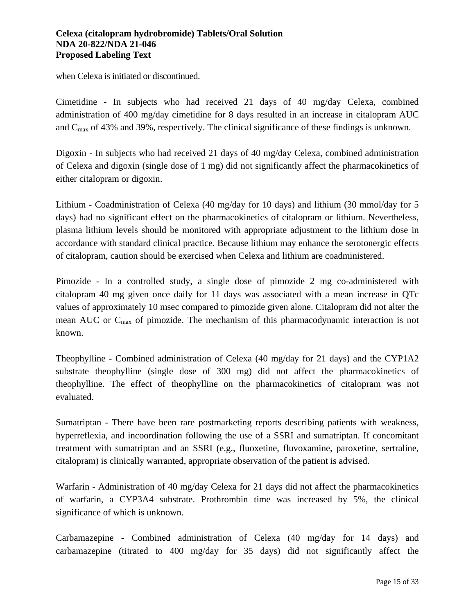when Celexa is initiated or discontinued.

Cimetidine - In subjects who had received 21 days of 40 mg/day Celexa, combined administration of 400 mg/day cimetidine for 8 days resulted in an increase in citalopram AUC and Cmax of 43% and 39%, respectively. The clinical significance of these findings is unknown.

Digoxin - In subjects who had received 21 days of 40 mg/day Celexa, combined administration of Celexa and digoxin (single dose of 1 mg) did not significantly affect the pharmacokinetics of either citalopram or digoxin.

Lithium - Coadministration of Celexa (40 mg/day for 10 days) and lithium (30 mmol/day for 5 days) had no significant effect on the pharmacokinetics of citalopram or lithium. Nevertheless, plasma lithium levels should be monitored with appropriate adjustment to the lithium dose in accordance with standard clinical practice. Because lithium may enhance the serotonergic effects of citalopram, caution should be exercised when Celexa and lithium are coadministered.

Pimozide - In a controlled study, a single dose of pimozide 2 mg co-administered with citalopram 40 mg given once daily for 11 days was associated with a mean increase in QTc values of approximately 10 msec compared to pimozide given alone. Citalopram did not alter the mean AUC or C<sub>max</sub> of pimozide. The mechanism of this pharmacodynamic interaction is not known.

Theophylline - Combined administration of Celexa (40 mg/day for 21 days) and the CYP1A2 substrate theophylline (single dose of 300 mg) did not affect the pharmacokinetics of theophylline. The effect of theophylline on the pharmacokinetics of citalopram was not evaluated.

Sumatriptan - There have been rare postmarketing reports describing patients with weakness, hyperreflexia, and incoordination following the use of a SSRI and sumatriptan. If concomitant treatment with sumatriptan and an SSRI (e.g., fluoxetine, fluvoxamine, paroxetine, sertraline, citalopram) is clinically warranted, appropriate observation of the patient is advised.

Warfarin - Administration of 40 mg/day Celexa for 21 days did not affect the pharmacokinetics of warfarin, a CYP3A4 substrate. Prothrombin time was increased by 5%, the clinical significance of which is unknown.

Carbamazepine - Combined administration of Celexa (40 mg/day for 14 days) and carbamazepine (titrated to 400 mg/day for 35 days) did not significantly affect the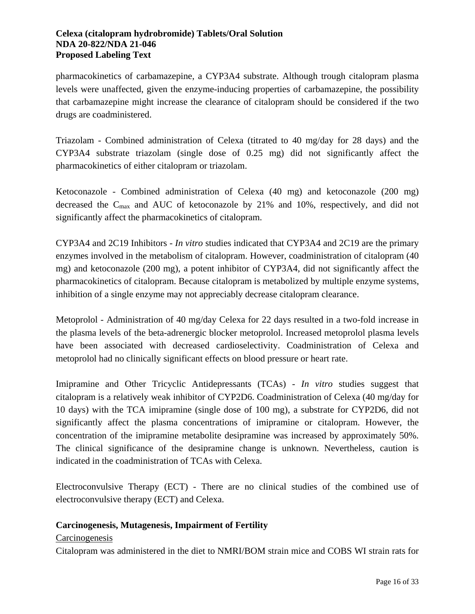pharmacokinetics of carbamazepine, a CYP3A4 substrate. Although trough citalopram plasma levels were unaffected, given the enzyme-inducing properties of carbamazepine, the possibility that carbamazepine might increase the clearance of citalopram should be considered if the two drugs are coadministered.

Triazolam - Combined administration of Celexa (titrated to 40 mg/day for 28 days) and the CYP3A4 substrate triazolam (single dose of 0.25 mg) did not significantly affect the pharmacokinetics of either citalopram or triazolam.

Ketoconazole - Combined administration of Celexa (40 mg) and ketoconazole (200 mg) decreased the  $C_{\text{max}}$  and AUC of ketoconazole by 21% and 10%, respectively, and did not significantly affect the pharmacokinetics of citalopram.

CYP3A4 and 2C19 Inhibitors - *In vitro* studies indicated that CYP3A4 and 2C19 are the primary enzymes involved in the metabolism of citalopram. However, coadministration of citalopram (40 mg) and ketoconazole (200 mg), a potent inhibitor of CYP3A4, did not significantly affect the pharmacokinetics of citalopram. Because citalopram is metabolized by multiple enzyme systems, inhibition of a single enzyme may not appreciably decrease citalopram clearance.

Metoprolol - Administration of 40 mg/day Celexa for 22 days resulted in a two-fold increase in the plasma levels of the beta-adrenergic blocker metoprolol. Increased metoprolol plasma levels have been associated with decreased cardioselectivity. Coadministration of Celexa and metoprolol had no clinically significant effects on blood pressure or heart rate.

Imipramine and Other Tricyclic Antidepressants (TCAs) - *In vitro* studies suggest that citalopram is a relatively weak inhibitor of CYP2D6. Coadministration of Celexa (40 mg/day for 10 days) with the TCA imipramine (single dose of 100 mg), a substrate for CYP2D6, did not significantly affect the plasma concentrations of imipramine or citalopram. However, the concentration of the imipramine metabolite desipramine was increased by approximately 50%. The clinical significance of the desipramine change is unknown. Nevertheless, caution is indicated in the coadministration of TCAs with Celexa.

Electroconvulsive Therapy (ECT) - There are no clinical studies of the combined use of electroconvulsive therapy (ECT) and Celexa.

# **Carcinogenesis, Mutagenesis, Impairment of Fertility**

#### **Carcinogenesis**

Citalopram was administered in the diet to NMRI/BOM strain mice and COBS WI strain rats for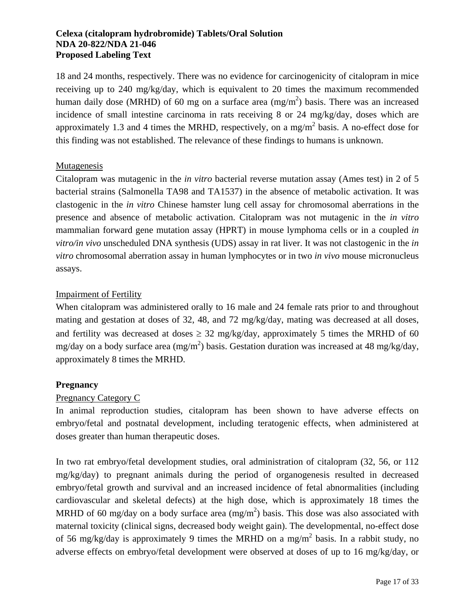18 and 24 months, respectively. There was no evidence for carcinogenicity of citalopram in mice receiving up to 240 mg/kg/day, which is equivalent to 20 times the maximum recommended human daily dose (MRHD) of 60 mg on a surface area  $(mg/m<sup>2</sup>)$  basis. There was an increased incidence of small intestine carcinoma in rats receiving 8 or 24 mg/kg/day, doses which are approximately 1.3 and 4 times the MRHD, respectively, on a mg/m<sup>2</sup> basis. A no-effect dose for this finding was not established. The relevance of these findings to humans is unknown.

#### **Mutagenesis**

Citalopram was mutagenic in the *in vitro* bacterial reverse mutation assay (Ames test) in 2 of 5 bacterial strains (Salmonella TA98 and TA1537) in the absence of metabolic activation. It was clastogenic in the *in vitro* Chinese hamster lung cell assay for chromosomal aberrations in the presence and absence of metabolic activation. Citalopram was not mutagenic in the *in vitro*  mammalian forward gene mutation assay (HPRT) in mouse lymphoma cells or in a coupled *in vitro/in vivo* unscheduled DNA synthesis (UDS) assay in rat liver. It was not clastogenic in the *in vitro* chromosomal aberration assay in human lymphocytes or in two *in vivo* mouse micronucleus assays.

# Impairment of Fertility

When citalopram was administered orally to 16 male and 24 female rats prior to and throughout mating and gestation at doses of 32, 48, and 72 mg/kg/day, mating was decreased at all doses, and fertility was decreased at doses  $\geq$  32 mg/kg/day, approximately 5 times the MRHD of 60 mg/day on a body surface area (mg/m<sup>2</sup>) basis. Gestation duration was increased at 48 mg/kg/day, approximately 8 times the MRHD.

#### **Pregnancy**

# Pregnancy Category C

In animal reproduction studies, citalopram has been shown to have adverse effects on embryo/fetal and postnatal development, including teratogenic effects, when administered at doses greater than human therapeutic doses.

In two rat embryo/fetal development studies, oral administration of citalopram (32, 56, or 112 mg/kg/day) to pregnant animals during the period of organogenesis resulted in decreased embryo/fetal growth and survival and an increased incidence of fetal abnormalities (including cardiovascular and skeletal defects) at the high dose, which is approximately 18 times the MRHD of 60 mg/day on a body surface area  $(mg/m<sup>2</sup>)$  basis. This dose was also associated with maternal toxicity (clinical signs, decreased body weight gain). The developmental, no-effect dose of 56 mg/kg/day is approximately 9 times the MRHD on a mg/m<sup>2</sup> basis. In a rabbit study, no adverse effects on embryo/fetal development were observed at doses of up to 16 mg/kg/day, or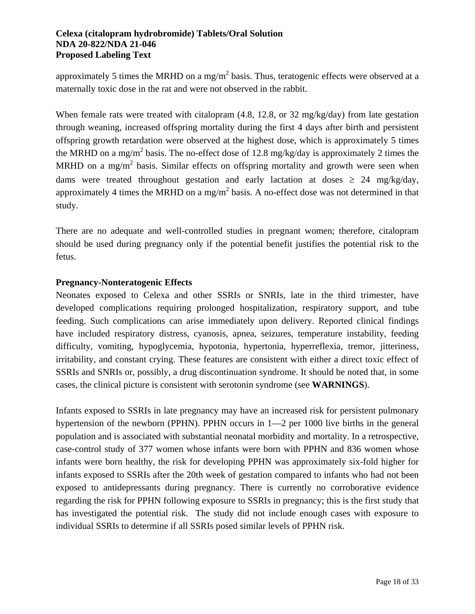approximately 5 times the MRHD on a mg/m<sup>2</sup> basis. Thus, teratogenic effects were observed at a maternally toxic dose in the rat and were not observed in the rabbit.

When female rats were treated with citalopram (4.8, 12.8, or 32 mg/kg/day) from late gestation through weaning, increased offspring mortality during the first 4 days after birth and persistent offspring growth retardation were observed at the highest dose, which is approximately 5 times the MRHD on a mg/m<sup>2</sup> basis. The no-effect dose of 12.8 mg/kg/day is approximately 2 times the MRHD on a mg/m<sup>2</sup> basis. Similar effects on offspring mortality and growth were seen when dams were treated throughout gestation and early lactation at doses  $\geq 24$  mg/kg/day, approximately 4 times the MRHD on a mg/m<sup>2</sup> basis. A no-effect dose was not determined in that study.

There are no adequate and well-controlled studies in pregnant women; therefore, citalopram should be used during pregnancy only if the potential benefit justifies the potential risk to the fetus.

#### **Pregnancy-Nonteratogenic Effects**

Neonates exposed to Celexa and other SSRIs or SNRIs, late in the third trimester, have developed complications requiring prolonged hospitalization, respiratory support, and tube feeding. Such complications can arise immediately upon delivery. Reported clinical findings have included respiratory distress, cyanosis, apnea, seizures, temperature instability, feeding difficulty, vomiting, hypoglycemia, hypotonia, hypertonia, hyperreflexia, tremor, jitteriness, irritability, and constant crying. These features are consistent with either a direct toxic effect of SSRIs and SNRIs or, possibly, a drug discontinuation syndrome. It should be noted that, in some cases, the clinical picture is consistent with serotonin syndrome (see **WARNINGS**).

Infants exposed to SSRIs in late pregnancy may have an increased risk for persistent pulmonary hypertension of the newborn (PPHN). PPHN occurs in 1—2 per 1000 live births in the general population and is associated with substantial neonatal morbidity and mortality. In a retrospective, case-control study of 377 women whose infants were born with PPHN and 836 women whose infants were born healthy, the risk for developing PPHN was approximately six-fold higher for infants exposed to SSRIs after the 20th week of gestation compared to infants who had not been exposed to antidepressants during pregnancy. There is currently no corroborative evidence regarding the risk for PPHN following exposure to SSRIs in pregnancy; this is the first study that has investigated the potential risk. The study did not include enough cases with exposure to individual SSRIs to determine if all SSRIs posed similar levels of PPHN risk.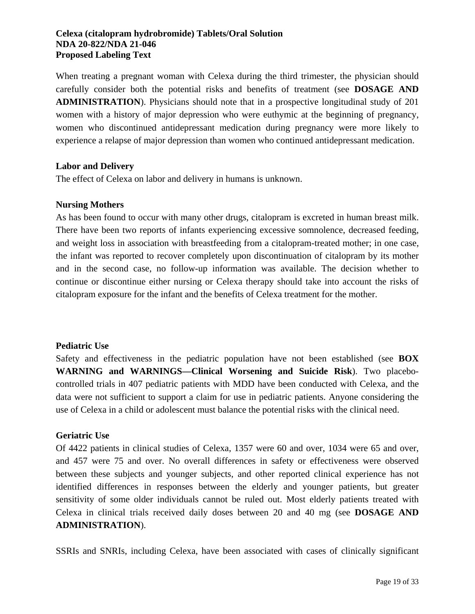When treating a pregnant woman with Celexa during the third trimester, the physician should carefully consider both the potential risks and benefits of treatment (see **DOSAGE AND ADMINISTRATION**). Physicians should note that in a prospective longitudinal study of 201 women with a history of major depression who were euthymic at the beginning of pregnancy, women who discontinued antidepressant medication during pregnancy were more likely to experience a relapse of major depression than women who continued antidepressant medication.

#### **Labor and Delivery**

The effect of Celexa on labor and delivery in humans is unknown.

#### **Nursing Mothers**

As has been found to occur with many other drugs, citalopram is excreted in human breast milk. There have been two reports of infants experiencing excessive somnolence, decreased feeding, and weight loss in association with breastfeeding from a citalopram-treated mother; in one case, the infant was reported to recover completely upon discontinuation of citalopram by its mother and in the second case, no follow-up information was available. The decision whether to continue or discontinue either nursing or Celexa therapy should take into account the risks of citalopram exposure for the infant and the benefits of Celexa treatment for the mother.

#### **Pediatric Use**

Safety and effectiveness in the pediatric population have not been established (see **BOX WARNING and WARNINGS—Clinical Worsening and Suicide Risk**). Two placebocontrolled trials in 407 pediatric patients with MDD have been conducted with Celexa, and the data were not sufficient to support a claim for use in pediatric patients. Anyone considering the use of Celexa in a child or adolescent must balance the potential risks with the clinical need.

#### **Geriatric Use**

Of 4422 patients in clinical studies of Celexa, 1357 were 60 and over, 1034 were 65 and over, and 457 were 75 and over. No overall differences in safety or effectiveness were observed between these subjects and younger subjects, and other reported clinical experience has not identified differences in responses between the elderly and younger patients, but greater sensitivity of some older individuals cannot be ruled out. Most elderly patients treated with Celexa in clinical trials received daily doses between 20 and 40 mg (see **DOSAGE AND ADMINISTRATION**).

SSRIs and SNRIs, including Celexa, have been associated with cases of clinically significant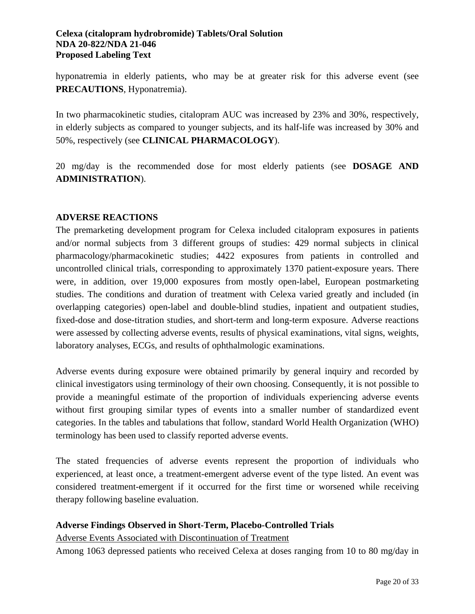hyponatremia in elderly patients, who may be at greater risk for this adverse event (see **PRECAUTIONS**, Hyponatremia).

In two pharmacokinetic studies, citalopram AUC was increased by 23% and 30%, respectively, in elderly subjects as compared to younger subjects, and its half-life was increased by 30% and 50%, respectively (see **CLINICAL PHARMACOLOGY**).

20 mg/day is the recommended dose for most elderly patients (see **DOSAGE AND ADMINISTRATION**).

# **ADVERSE REACTIONS**

The premarketing development program for Celexa included citalopram exposures in patients and/or normal subjects from 3 different groups of studies: 429 normal subjects in clinical pharmacology/pharmacokinetic studies; 4422 exposures from patients in controlled and uncontrolled clinical trials, corresponding to approximately 1370 patient-exposure years. There were, in addition, over 19,000 exposures from mostly open-label, European postmarketing studies. The conditions and duration of treatment with Celexa varied greatly and included (in overlapping categories) open-label and double-blind studies, inpatient and outpatient studies, fixed-dose and dose-titration studies, and short-term and long-term exposure. Adverse reactions were assessed by collecting adverse events, results of physical examinations, vital signs, weights, laboratory analyses, ECGs, and results of ophthalmologic examinations.

Adverse events during exposure were obtained primarily by general inquiry and recorded by clinical investigators using terminology of their own choosing. Consequently, it is not possible to provide a meaningful estimate of the proportion of individuals experiencing adverse events without first grouping similar types of events into a smaller number of standardized event categories. In the tables and tabulations that follow, standard World Health Organization (WHO) terminology has been used to classify reported adverse events.

The stated frequencies of adverse events represent the proportion of individuals who experienced, at least once, a treatment-emergent adverse event of the type listed. An event was considered treatment-emergent if it occurred for the first time or worsened while receiving therapy following baseline evaluation.

#### **Adverse Findings Observed in Short-Term, Placebo-Controlled Trials**

Adverse Events Associated with Discontinuation of Treatment

Among 1063 depressed patients who received Celexa at doses ranging from 10 to 80 mg/day in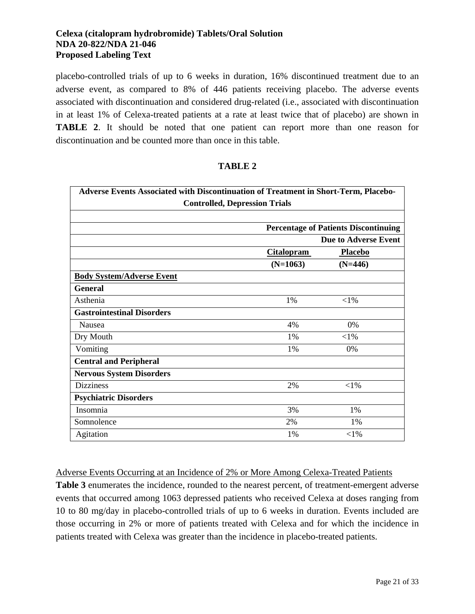placebo-controlled trials of up to 6 weeks in duration, 16% discontinued treatment due to an adverse event, as compared to 8% of 446 patients receiving placebo. The adverse events associated with discontinuation and considered drug-related (i.e., associated with discontinuation in at least 1% of Celexa-treated patients at a rate at least twice that of placebo) are shown in **TABLE 2**. It should be noted that one patient can report more than one reason for discontinuation and be counted more than once in this table.

| <b>Adverse Events Associated with Discontinuation of Treatment in Short-Term, Placebo-</b> |                                             |                             |  |  |
|--------------------------------------------------------------------------------------------|---------------------------------------------|-----------------------------|--|--|
| <b>Controlled, Depression Trials</b>                                                       |                                             |                             |  |  |
|                                                                                            |                                             |                             |  |  |
|                                                                                            | <b>Percentage of Patients Discontinuing</b> |                             |  |  |
|                                                                                            |                                             | <b>Due to Adverse Event</b> |  |  |
|                                                                                            | <u>Citalopram</u>                           | <b>Placebo</b>              |  |  |
|                                                                                            | $(N=1063)$                                  | $(N=446)$                   |  |  |
| <b>Body System/Adverse Event</b>                                                           |                                             |                             |  |  |
| <b>General</b>                                                                             |                                             |                             |  |  |
| Asthenia                                                                                   | 1%                                          | $< 1\%$                     |  |  |
| <b>Gastrointestinal Disorders</b>                                                          |                                             |                             |  |  |
| Nausea                                                                                     | 4%                                          | 0%                          |  |  |
| Dry Mouth                                                                                  | 1%                                          | $< 1\%$                     |  |  |
| Vomiting                                                                                   | 1%                                          | $0\%$                       |  |  |
| <b>Central and Peripheral</b>                                                              |                                             |                             |  |  |
| <b>Nervous System Disorders</b>                                                            |                                             |                             |  |  |
| <b>Dizziness</b>                                                                           | 2%                                          | ${<}1\%$                    |  |  |
| <b>Psychiatric Disorders</b>                                                               |                                             |                             |  |  |
| Insomnia                                                                                   | 3%                                          | 1%                          |  |  |
| Somnolence                                                                                 | 2%                                          | 1%                          |  |  |
| Agitation                                                                                  | 1%                                          | $<$ 1%                      |  |  |

# **TABLE 2**

Adverse Events Occurring at an Incidence of 2% or More Among Celexa-Treated Patients **Table 3** enumerates the incidence, rounded to the nearest percent, of treatment-emergent adverse events that occurred among 1063 depressed patients who received Celexa at doses ranging from 10 to 80 mg/day in placebo-controlled trials of up to 6 weeks in duration. Events included are those occurring in 2% or more of patients treated with Celexa and for which the incidence in patients treated with Celexa was greater than the incidence in placebo-treated patients.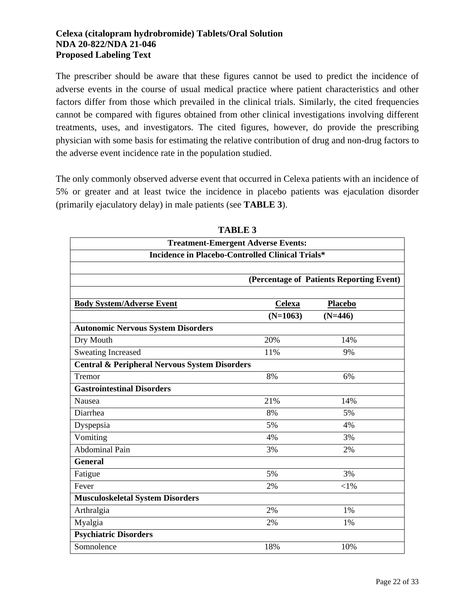The prescriber should be aware that these figures cannot be used to predict the incidence of adverse events in the course of usual medical practice where patient characteristics and other factors differ from those which prevailed in the clinical trials. Similarly, the cited frequencies cannot be compared with figures obtained from other clinical investigations involving different treatments, uses, and investigators. The cited figures, however, do provide the prescribing physician with some basis for estimating the relative contribution of drug and non-drug factors to the adverse event incidence rate in the population studied.

The only commonly observed adverse event that occurred in Celexa patients with an incidence of 5% or greater and at least twice the incidence in placebo patients was ejaculation disorder (primarily ejaculatory delay) in male patients (see **TABLE 3**).

| <b>Treatment-Emergent Adverse Events:</b><br><b>Incidence in Placebo-Controlled Clinical Trials*</b> |                                          |                |  |  |
|------------------------------------------------------------------------------------------------------|------------------------------------------|----------------|--|--|
|                                                                                                      |                                          |                |  |  |
|                                                                                                      | (Percentage of Patients Reporting Event) |                |  |  |
|                                                                                                      |                                          |                |  |  |
| <b>Body System/Adverse Event</b>                                                                     | <b>Celexa</b>                            | <b>Placebo</b> |  |  |
|                                                                                                      | $(N=1063)$                               | $(N=446)$      |  |  |
| <b>Autonomic Nervous System Disorders</b>                                                            |                                          |                |  |  |
| Dry Mouth                                                                                            | 20%                                      | 14%            |  |  |
| <b>Sweating Increased</b>                                                                            | 11%                                      | 9%             |  |  |
| <b>Central &amp; Peripheral Nervous System Disorders</b>                                             |                                          |                |  |  |
| Tremor                                                                                               | 8%                                       | 6%             |  |  |
| <b>Gastrointestinal Disorders</b>                                                                    |                                          |                |  |  |
| Nausea                                                                                               | 21%                                      | 14%            |  |  |
| Diarrhea                                                                                             | 8%                                       | 5%             |  |  |
| Dyspepsia                                                                                            | 5%                                       | 4%             |  |  |
| Vomiting                                                                                             | 4%                                       | 3%             |  |  |
| Abdominal Pain                                                                                       | 3%                                       | 2%             |  |  |
| <b>General</b>                                                                                       |                                          |                |  |  |
| Fatigue                                                                                              | 5%                                       | 3%             |  |  |
| Fever                                                                                                | 2%                                       | $<$ 1%         |  |  |
| <b>Musculoskeletal System Disorders</b>                                                              |                                          |                |  |  |
| Arthralgia                                                                                           | 2%                                       | 1%             |  |  |
| Myalgia                                                                                              | 2%                                       | 1%             |  |  |
| <b>Psychiatric Disorders</b>                                                                         |                                          |                |  |  |
| Somnolence                                                                                           | 18%                                      | 10%            |  |  |

**TABLE 3**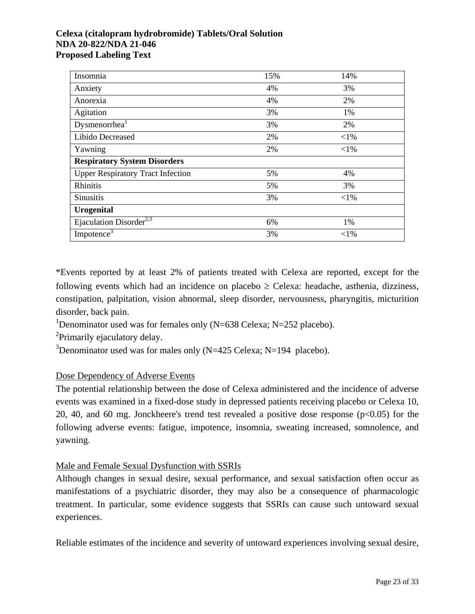| Insomnia                                 | 15% | 14%      |
|------------------------------------------|-----|----------|
| Anxiety                                  | 4%  | 3%       |
| Anorexia                                 | 4%  | 2%       |
| Agitation                                | 3%  | 1%       |
| Dysmenorrhea <sup>1</sup>                | 3%  | 2%       |
| Libido Decreased                         | 2%  | ${<}1\%$ |
| Yawning                                  | 2%  | <1%      |
| <b>Respiratory System Disorders</b>      |     |          |
| <b>Upper Respiratory Tract Infection</b> | 5%  | 4%       |
| Rhinitis                                 | 5%  | 3%       |
| <b>Sinusitis</b>                         | 3%  | ${<}1\%$ |
| <b>Urogenital</b>                        |     |          |
| Ejaculation Disorder <sup>2,3</sup>      | 6%  | 1%       |
| Impotence $\overline{3}$                 | 3%  | ${<}1\%$ |

\*Events reported by at least 2% of patients treated with Celexa are reported, except for the following events which had an incidence on placebo  $\geq$  Celexa: headache, asthenia, dizziness, constipation, palpitation, vision abnormal, sleep disorder, nervousness, pharyngitis, micturition disorder, back pain.

<sup>1</sup>Denominator used was for females only (N=638 Celexa; N=252 placebo).

<sup>2</sup>Primarily ejaculatory delay.

<sup>3</sup>Denominator used was for males only (N=425 Celexa; N=194 placebo).

# Dose Dependency of Adverse Events

The potential relationship between the dose of Celexa administered and the incidence of adverse events was examined in a fixed-dose study in depressed patients receiving placebo or Celexa 10, 20, 40, and 60 mg. Jonckheere's trend test revealed a positive dose response  $(p<0.05)$  for the following adverse events: fatigue, impotence, insomnia, sweating increased, somnolence, and yawning.

#### Male and Female Sexual Dysfunction with SSRIs

Although changes in sexual desire, sexual performance, and sexual satisfaction often occur as manifestations of a psychiatric disorder, they may also be a consequence of pharmacologic treatment. In particular, some evidence suggests that SSRIs can cause such untoward sexual experiences.

Reliable estimates of the incidence and severity of untoward experiences involving sexual desire,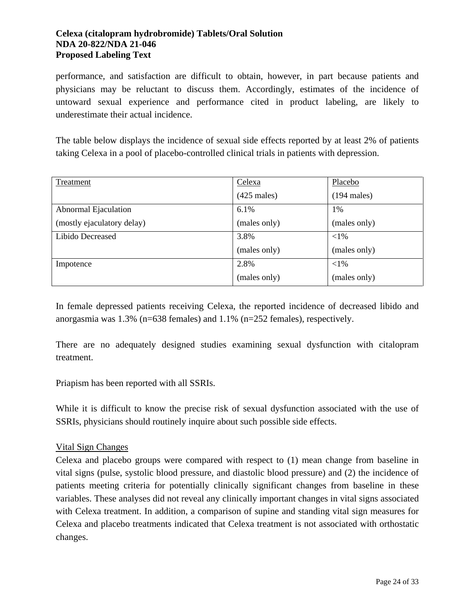performance, and satisfaction are difficult to obtain, however, in part because patients and physicians may be reluctant to discuss them. Accordingly, estimates of the incidence of untoward sexual experience and performance cited in product labeling, are likely to underestimate their actual incidence.

The table below displays the incidence of sexual side effects reported by at least 2% of patients taking Celexa in a pool of placebo-controlled clinical trials in patients with depression.

| Treatment                  | Celexa        | Placebo       |
|----------------------------|---------------|---------------|
|                            | $(425$ males) | $(194$ males) |
| Abnormal Ejaculation       | 6.1%          | 1%            |
| (mostly ejaculatory delay) | (males only)  | (males only)  |
| Libido Decreased           | 3.8%          | ${<}1\%$      |
|                            | (males only)  | (males only)  |
| Impotence                  | 2.8%          | ${<}1\%$      |
|                            | (males only)  | (males only)  |

In female depressed patients receiving Celexa, the reported incidence of decreased libido and anorgasmia was 1.3% (n=638 females) and 1.1% (n=252 females), respectively.

There are no adequately designed studies examining sexual dysfunction with citalopram treatment.

Priapism has been reported with all SSRIs.

While it is difficult to know the precise risk of sexual dysfunction associated with the use of SSRIs, physicians should routinely inquire about such possible side effects.

# Vital Sign Changes

Celexa and placebo groups were compared with respect to (1) mean change from baseline in vital signs (pulse, systolic blood pressure, and diastolic blood pressure) and (2) the incidence of patients meeting criteria for potentially clinically significant changes from baseline in these variables. These analyses did not reveal any clinically important changes in vital signs associated with Celexa treatment. In addition, a comparison of supine and standing vital sign measures for Celexa and placebo treatments indicated that Celexa treatment is not associated with orthostatic changes.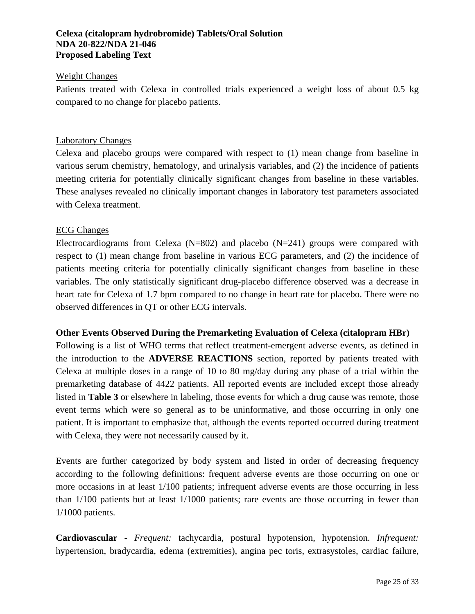#### Weight Changes

Patients treated with Celexa in controlled trials experienced a weight loss of about 0.5 kg compared to no change for placebo patients.

#### Laboratory Changes

Celexa and placebo groups were compared with respect to (1) mean change from baseline in various serum chemistry, hematology, and urinalysis variables, and (2) the incidence of patients meeting criteria for potentially clinically significant changes from baseline in these variables. These analyses revealed no clinically important changes in laboratory test parameters associated with Celexa treatment.

#### ECG Changes

Electrocardiograms from Celexa  $(N=802)$  and placebo  $(N=241)$  groups were compared with respect to (1) mean change from baseline in various ECG parameters, and (2) the incidence of patients meeting criteria for potentially clinically significant changes from baseline in these variables. The only statistically significant drug-placebo difference observed was a decrease in heart rate for Celexa of 1.7 bpm compared to no change in heart rate for placebo. There were no observed differences in QT or other ECG intervals.

#### **Other Events Observed During the Premarketing Evaluation of Celexa (citalopram HBr)**

Following is a list of WHO terms that reflect treatment-emergent adverse events, as defined in the introduction to the **ADVERSE REACTIONS** section, reported by patients treated with Celexa at multiple doses in a range of 10 to 80 mg/day during any phase of a trial within the premarketing database of 4422 patients. All reported events are included except those already listed in **Table 3** or elsewhere in labeling, those events for which a drug cause was remote, those event terms which were so general as to be uninformative, and those occurring in only one patient. It is important to emphasize that, although the events reported occurred during treatment with Celexa, they were not necessarily caused by it.

Events are further categorized by body system and listed in order of decreasing frequency according to the following definitions: frequent adverse events are those occurring on one or more occasions in at least 1/100 patients; infrequent adverse events are those occurring in less than 1/100 patients but at least 1/1000 patients; rare events are those occurring in fewer than 1/1000 patients.

**Cardiovascular** - *Frequent:* tachycardia, postural hypotension, hypotension. *Infrequent:*  hypertension, bradycardia, edema (extremities), angina pec toris, extrasystoles, cardiac failure,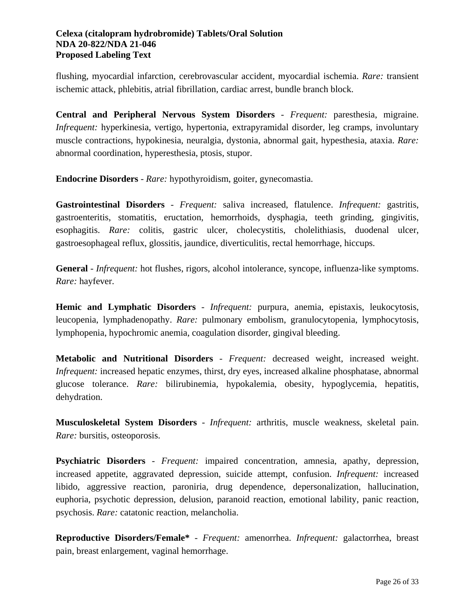flushing, myocardial infarction, cerebrovascular accident, myocardial ischemia. *Rare:* transient ischemic attack, phlebitis, atrial fibrillation, cardiac arrest, bundle branch block.

**Central and Peripheral Nervous System Disorders** - *Frequent:* paresthesia, migraine. *Infrequent:* hyperkinesia, vertigo, hypertonia, extrapyramidal disorder, leg cramps, involuntary muscle contractions, hypokinesia, neuralgia, dystonia, abnormal gait, hypesthesia, ataxia. *Rare:*  abnormal coordination, hyperesthesia, ptosis, stupor.

**Endocrine Disorders** - *Rare:* hypothyroidism, goiter, gynecomastia.

**Gastrointestinal Disorders** - *Frequent:* saliva increased, flatulence. *Infrequent:* gastritis, gastroenteritis, stomatitis, eructation, hemorrhoids, dysphagia, teeth grinding, gingivitis, esophagitis. *Rare:* colitis, gastric ulcer, cholecystitis, cholelithiasis, duodenal ulcer, gastroesophageal reflux, glossitis, jaundice, diverticulitis, rectal hemorrhage, hiccups.

**General** - *Infrequent:* hot flushes, rigors, alcohol intolerance, syncope, influenza-like symptoms. *Rare:* hayfever.

**Hemic and Lymphatic Disorders** - *Infrequent:* purpura, anemia, epistaxis, leukocytosis, leucopenia, lymphadenopathy. *Rare:* pulmonary embolism, granulocytopenia, lymphocytosis, lymphopenia, hypochromic anemia, coagulation disorder, gingival bleeding.

**Metabolic and Nutritional Disorders** - *Frequent:* decreased weight, increased weight. *Infrequent:* increased hepatic enzymes, thirst, dry eyes, increased alkaline phosphatase, abnormal glucose tolerance. *Rare:* bilirubinemia, hypokalemia, obesity, hypoglycemia, hepatitis, dehydration.

**Musculoskeletal System Disorders** - *Infrequent:* arthritis, muscle weakness, skeletal pain. *Rare:* bursitis, osteoporosis.

**Psychiatric Disorders** - *Frequent:* impaired concentration, amnesia, apathy, depression, increased appetite, aggravated depression, suicide attempt, confusion. *Infrequent:* increased libido, aggressive reaction, paroniria, drug dependence, depersonalization, hallucination, euphoria, psychotic depression, delusion, paranoid reaction, emotional lability, panic reaction, psychosis. *Rare:* catatonic reaction, melancholia.

**Reproductive Disorders/Female\*** - *Frequent:* amenorrhea. *Infrequent:* galactorrhea, breast pain, breast enlargement, vaginal hemorrhage.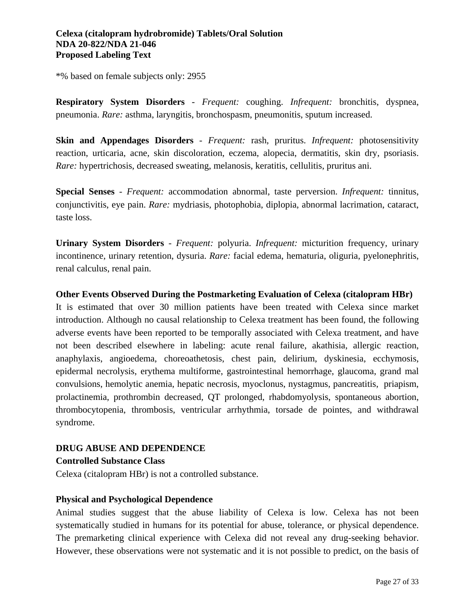\*% based on female subjects only: 2955

**Respiratory System Disorders** - *Frequent:* coughing. *Infrequent:* bronchitis, dyspnea, pneumonia. *Rare:* asthma, laryngitis, bronchospasm, pneumonitis, sputum increased.

**Skin and Appendages Disorders** - *Frequent:* rash, pruritus. *Infrequent:* photosensitivity reaction, urticaria, acne, skin discoloration, eczema, alopecia, dermatitis, skin dry, psoriasis. *Rare:* hypertrichosis, decreased sweating, melanosis, keratitis, cellulitis, pruritus ani.

**Special Senses** - *Frequent:* accommodation abnormal, taste perversion. *Infrequent:* tinnitus, conjunctivitis, eye pain. *Rare:* mydriasis, photophobia, diplopia, abnormal lacrimation, cataract, taste loss.

**Urinary System Disorders** - *Frequent:* polyuria. *Infrequent:* micturition frequency, urinary incontinence, urinary retention, dysuria. *Rare:* facial edema, hematuria, oliguria, pyelonephritis, renal calculus, renal pain.

#### **Other Events Observed During the Postmarketing Evaluation of Celexa (citalopram HBr)**

It is estimated that over 30 million patients have been treated with Celexa since market introduction. Although no causal relationship to Celexa treatment has been found, the following adverse events have been reported to be temporally associated with Celexa treatment, and have not been described elsewhere in labeling: acute renal failure, akathisia, allergic reaction, anaphylaxis, angioedema, choreoathetosis, chest pain, delirium, dyskinesia, ecchymosis, epidermal necrolysis, erythema multiforme, gastrointestinal hemorrhage, glaucoma, grand mal convulsions, hemolytic anemia, hepatic necrosis, myoclonus, nystagmus, pancreatitis, priapism, prolactinemia, prothrombin decreased, QT prolonged, rhabdomyolysis, spontaneous abortion, thrombocytopenia, thrombosis, ventricular arrhythmia, torsade de pointes, and withdrawal syndrome.

#### **DRUG ABUSE AND DEPENDENCE**

#### **Controlled Substance Class**

Celexa (citalopram HBr) is not a controlled substance.

#### **Physical and Psychological Dependence**

Animal studies suggest that the abuse liability of Celexa is low. Celexa has not been systematically studied in humans for its potential for abuse, tolerance, or physical dependence. The premarketing clinical experience with Celexa did not reveal any drug-seeking behavior. However, these observations were not systematic and it is not possible to predict, on the basis of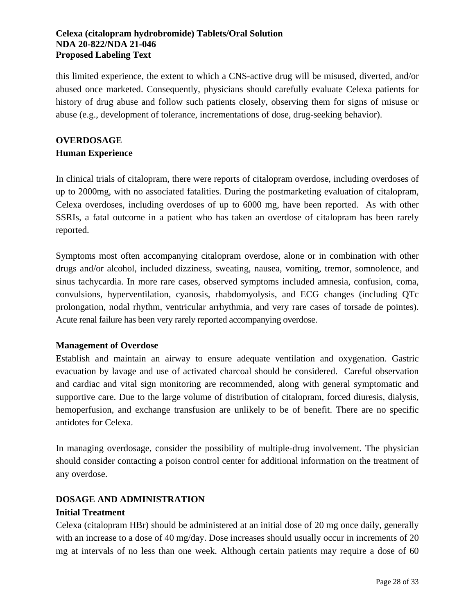this limited experience, the extent to which a CNS-active drug will be misused, diverted, and/or abused once marketed. Consequently, physicians should carefully evaluate Celexa patients for history of drug abuse and follow such patients closely, observing them for signs of misuse or abuse (e.g., development of tolerance, incrementations of dose, drug-seeking behavior).

# **OVERDOSAGE Human Experience**

In clinical trials of citalopram, there were reports of citalopram overdose, including overdoses of up to 2000mg, with no associated fatalities. During the postmarketing evaluation of citalopram, Celexa overdoses, including overdoses of up to 6000 mg, have been reported. As with other SSRIs, a fatal outcome in a patient who has taken an overdose of citalopram has been rarely reported.

Symptoms most often accompanying citalopram overdose, alone or in combination with other drugs and/or alcohol, included dizziness, sweating, nausea, vomiting, tremor, somnolence, and sinus tachycardia. In more rare cases, observed symptoms included amnesia, confusion, coma, convulsions, hyperventilation, cyanosis, rhabdomyolysis, and ECG changes (including QTc prolongation, nodal rhythm, ventricular arrhythmia, and very rare cases of torsade de pointes). Acute renal failure has been very rarely reported accompanying overdose.

# **Management of Overdose**

Establish and maintain an airway to ensure adequate ventilation and oxygenation. Gastric evacuation by lavage and use of activated charcoal should be considered. Careful observation and cardiac and vital sign monitoring are recommended, along with general symptomatic and supportive care. Due to the large volume of distribution of citalopram, forced diuresis, dialysis, hemoperfusion, and exchange transfusion are unlikely to be of benefit. There are no specific antidotes for Celexa.

In managing overdosage, consider the possibility of multiple-drug involvement. The physician should consider contacting a poison control center for additional information on the treatment of any overdose.

# **DOSAGE AND ADMINISTRATION**

# **Initial Treatment**

Celexa (citalopram HBr) should be administered at an initial dose of 20 mg once daily, generally with an increase to a dose of 40 mg/day. Dose increases should usually occur in increments of 20 mg at intervals of no less than one week. Although certain patients may require a dose of 60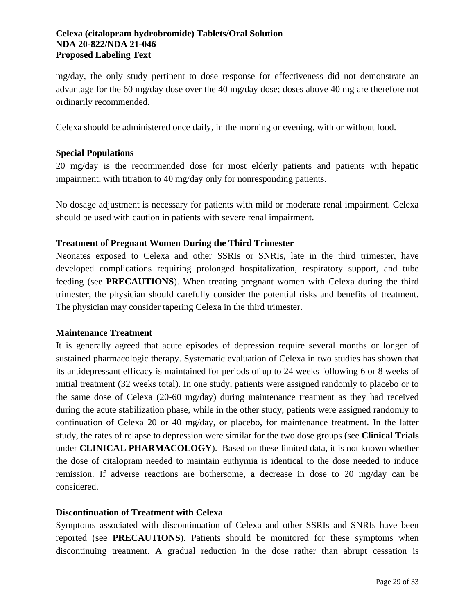mg/day, the only study pertinent to dose response for effectiveness did not demonstrate an advantage for the 60 mg/day dose over the 40 mg/day dose; doses above 40 mg are therefore not ordinarily recommended.

Celexa should be administered once daily, in the morning or evening, with or without food.

### **Special Populations**

20 mg/day is the recommended dose for most elderly patients and patients with hepatic impairment, with titration to 40 mg/day only for nonresponding patients.

No dosage adjustment is necessary for patients with mild or moderate renal impairment. Celexa should be used with caution in patients with severe renal impairment.

# **Treatment of Pregnant Women During the Third Trimester**

Neonates exposed to Celexa and other SSRIs or SNRIs, late in the third trimester, have developed complications requiring prolonged hospitalization, respiratory support, and tube feeding (see **PRECAUTIONS**). When treating pregnant women with Celexa during the third trimester, the physician should carefully consider the potential risks and benefits of treatment. The physician may consider tapering Celexa in the third trimester.

#### **Maintenance Treatment**

It is generally agreed that acute episodes of depression require several months or longer of sustained pharmacologic therapy. Systematic evaluation of Celexa in two studies has shown that its antidepressant efficacy is maintained for periods of up to 24 weeks following 6 or 8 weeks of initial treatment (32 weeks total). In one study, patients were assigned randomly to placebo or to the same dose of Celexa (20-60 mg/day) during maintenance treatment as they had received during the acute stabilization phase, while in the other study, patients were assigned randomly to continuation of Celexa 20 or 40 mg/day, or placebo, for maintenance treatment. In the latter study, the rates of relapse to depression were similar for the two dose groups (see **Clinical Trials**  under **CLINICAL PHARMACOLOGY**). Based on these limited data, it is not known whether the dose of citalopram needed to maintain euthymia is identical to the dose needed to induce remission. If adverse reactions are bothersome, a decrease in dose to 20 mg/day can be considered.

#### **Discontinuation of Treatment with Celexa**

Symptoms associated with discontinuation of Celexa and other SSRIs and SNRIs have been reported (see **PRECAUTIONS**). Patients should be monitored for these symptoms when discontinuing treatment. A gradual reduction in the dose rather than abrupt cessation is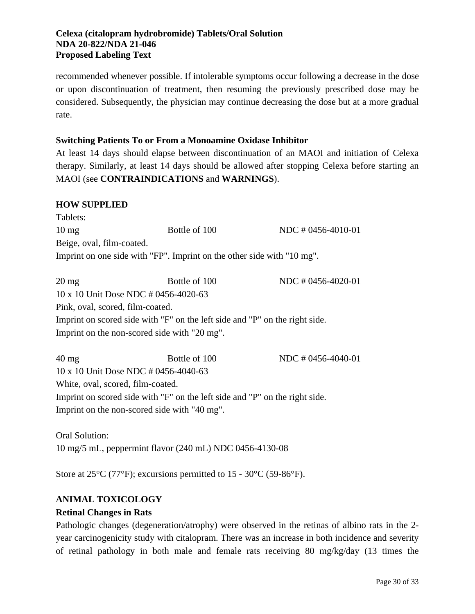recommended whenever possible. If intolerable symptoms occur following a decrease in the dose or upon discontinuation of treatment, then resuming the previously prescribed dose may be considered. Subsequently, the physician may continue decreasing the dose but at a more gradual rate.

#### **Switching Patients To or From a Monoamine Oxidase Inhibitor**

At least 14 days should elapse between discontinuation of an MAOI and initiation of Celexa therapy. Similarly, at least 14 days should be allowed after stopping Celexa before starting an MAOI (see **CONTRAINDICATIONS** and **WARNINGS**).

#### **HOW SUPPLIED**

Tablets: 10 mg Bottle of 100 NDC # 0456-4010-01 Beige, oval, film-coated. Imprint on one side with "FP". Imprint on the other side with "10 mg".

20 mg Bottle of 100 NDC # 0456-4020-01 10 x 10 Unit Dose NDC # 0456-4020-63 Pink, oval, scored, film-coated. Imprint on scored side with "F" on the left side and "P" on the right side. Imprint on the non-scored side with "20 mg".

40 mg Bottle of 100 NDC # 0456-4040-01 10 x 10 Unit Dose NDC # 0456-4040-63 White, oval, scored, film-coated. Imprint on scored side with "F" on the left side and "P" on the right side. Imprint on the non-scored side with "40 mg".

Oral Solution: 10 mg/5 mL, peppermint flavor (240 mL) NDC 0456-4130-08

Store at 25<sup>o</sup>C (77<sup>o</sup>F); excursions permitted to 15 - 30<sup>o</sup>C (59-86<sup>o</sup>F).

### **ANIMAL TOXICOLOGY**

#### **Retinal Changes in Rats**

Pathologic changes (degeneration/atrophy) were observed in the retinas of albino rats in the 2year carcinogenicity study with citalopram. There was an increase in both incidence and severity of retinal pathology in both male and female rats receiving 80 mg/kg/day (13 times the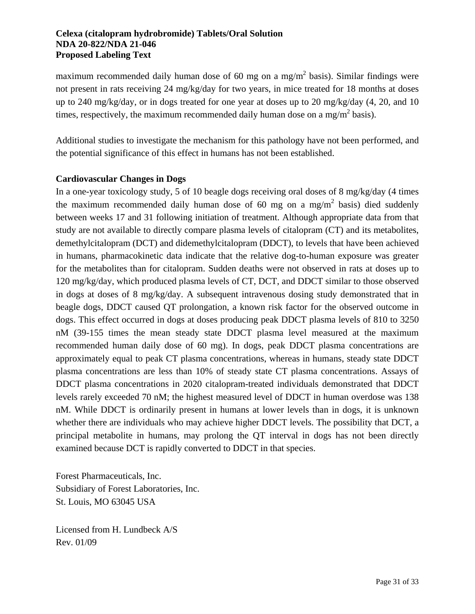maximum recommended daily human dose of 60 mg on a mg/m<sup>2</sup> basis). Similar findings were not present in rats receiving 24 mg/kg/day for two years, in mice treated for 18 months at doses up to 240 mg/kg/day, or in dogs treated for one year at doses up to 20 mg/kg/day (4, 20, and 10 times, respectively, the maximum recommended daily human dose on a mg/m<sup>2</sup> basis).

Additional studies to investigate the mechanism for this pathology have not been performed, and the potential significance of this effect in humans has not been established.

# **Cardiovascular Changes in Dogs**

In a one-year toxicology study, 5 of 10 beagle dogs receiving oral doses of 8 mg/kg/day (4 times the maximum recommended daily human dose of 60 mg on a mg/m<sup>2</sup> basis) died suddenly between weeks 17 and 31 following initiation of treatment. Although appropriate data from that study are not available to directly compare plasma levels of citalopram (CT) and its metabolites, demethylcitalopram (DCT) and didemethylcitalopram (DDCT), to levels that have been achieved in humans, pharmacokinetic data indicate that the relative dog-to-human exposure was greater for the metabolites than for citalopram. Sudden deaths were not observed in rats at doses up to 120 mg/kg/day, which produced plasma levels of CT, DCT, and DDCT similar to those observed in dogs at doses of 8 mg/kg/day. A subsequent intravenous dosing study demonstrated that in beagle dogs, DDCT caused QT prolongation, a known risk factor for the observed outcome in dogs. This effect occurred in dogs at doses producing peak DDCT plasma levels of 810 to 3250 nM (39-155 times the mean steady state DDCT plasma level measured at the maximum recommended human daily dose of 60 mg). In dogs, peak DDCT plasma concentrations are approximately equal to peak CT plasma concentrations, whereas in humans, steady state DDCT plasma concentrations are less than 10% of steady state CT plasma concentrations. Assays of DDCT plasma concentrations in 2020 citalopram-treated individuals demonstrated that DDCT levels rarely exceeded 70 nM; the highest measured level of DDCT in human overdose was 138 nM. While DDCT is ordinarily present in humans at lower levels than in dogs, it is unknown whether there are individuals who may achieve higher DDCT levels. The possibility that DCT, a principal metabolite in humans, may prolong the QT interval in dogs has not been directly examined because DCT is rapidly converted to DDCT in that species.

Forest Pharmaceuticals, Inc. Subsidiary of Forest Laboratories, Inc. St. Louis, MO 63045 USA

Licensed from H. Lundbeck A/S Rev. 01/09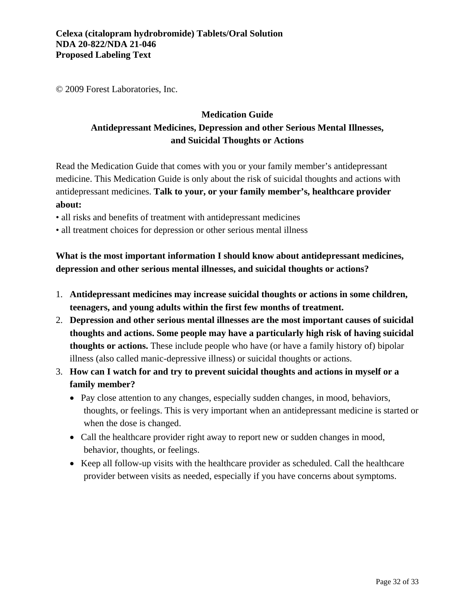© 2009 Forest Laboratories, Inc.

# **Medication Guide Antidepressant Medicines, Depression and other Serious Mental Illnesses, and Suicidal Thoughts or Actions**

Read the Medication Guide that comes with you or your family member's antidepressant medicine. This Medication Guide is only about the risk of suicidal thoughts and actions with antidepressant medicines. **Talk to your, or your family member's, healthcare provider about:** 

- all risks and benefits of treatment with antidepressant medicines
- all treatment choices for depression or other serious mental illness

# **What is the most important information I should know about antidepressant medicines, depression and other serious mental illnesses, and suicidal thoughts or actions?**

- 1. **Antidepressant medicines may increase suicidal thoughts or actions in some children, teenagers, and young adults within the first few months of treatment.**
- 2. **Depression and other serious mental illnesses are the most important causes of suicidal thoughts and actions. Some people may have a particularly high risk of having suicidal thoughts or actions.** These include people who have (or have a family history of) bipolar illness (also called manic-depressive illness) or suicidal thoughts or actions.
- 3. **How can I watch for and try to prevent suicidal thoughts and actions in myself or a family member?** 
	- Pay close attention to any changes, especially sudden changes, in mood, behaviors, thoughts, or feelings. This is very important when an antidepressant medicine is started or when the dose is changed.
	- Call the healthcare provider right away to report new or sudden changes in mood, behavior, thoughts, or feelings.
	- Keep all follow-up visits with the healthcare provider as scheduled. Call the healthcare provider between visits as needed, especially if you have concerns about symptoms.